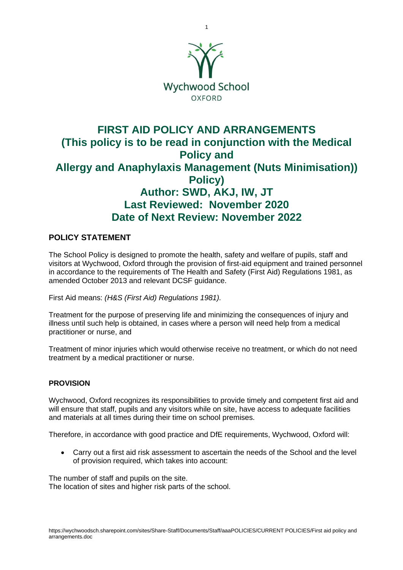

# **FIRST AID POLICY AND ARRANGEMENTS (This policy is to be read in conjunction with the Medical Policy and Allergy and Anaphylaxis Management (Nuts Minimisation)) Policy) Author: SWD, AKJ, IW, JT Last Reviewed: November 2020 Date of Next Review: November 2022**

# **POLICY STATEMENT**

The School Policy is designed to promote the health, safety and welfare of pupils, staff and visitors at Wychwood, Oxford through the provision of first-aid equipment and trained personnel in accordance to the requirements of The Health and Safety (First Aid) Regulations 1981, as amended October 2013 and relevant DCSF guidance.

First Aid means: *(H&S (First Aid) Regulations 1981).*

Treatment for the purpose of preserving life and minimizing the consequences of injury and illness until such help is obtained, in cases where a person will need help from a medical practitioner or nurse, and

Treatment of minor injuries which would otherwise receive no treatment, or which do not need treatment by a medical practitioner or nurse.

# **PROVISION**

Wychwood, Oxford recognizes its responsibilities to provide timely and competent first aid and will ensure that staff, pupils and any visitors while on site, have access to adequate facilities and materials at all times during their time on school premises.

Therefore, in accordance with good practice and DfE requirements, Wychwood, Oxford will:

• Carry out a first aid risk assessment to ascertain the needs of the School and the level of provision required, which takes into account:

The number of staff and pupils on the site. The location of sites and higher risk parts of the school.

1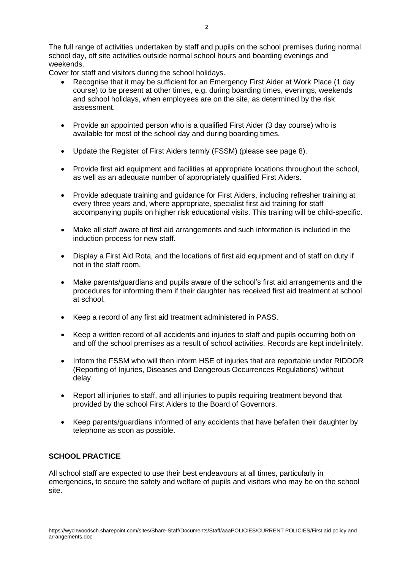The full range of activities undertaken by staff and pupils on the school premises during normal school day, off site activities outside normal school hours and boarding evenings and weekends.

Cover for staff and visitors during the school holidays.

- Recognise that it may be sufficient for an Emergency First Aider at Work Place (1 day course) to be present at other times, e.g. during boarding times, evenings, weekends and school holidays, when employees are on the site, as determined by the risk assessment.
- Provide an appointed person who is a qualified First Aider (3 day course) who is available for most of the school day and during boarding times.
- Update the Register of First Aiders termly (FSSM) (please see page 8).
- Provide first aid equipment and facilities at appropriate locations throughout the school, as well as an adequate number of appropriately qualified First Aiders.
- Provide adequate training and guidance for First Aiders, including refresher training at every three years and, where appropriate, specialist first aid training for staff accompanying pupils on higher risk educational visits. This training will be child-specific.
- Make all staff aware of first aid arrangements and such information is included in the induction process for new staff.
- Display a First Aid Rota, and the locations of first aid equipment and of staff on duty if not in the staff room.
- Make parents/guardians and pupils aware of the school's first aid arrangements and the procedures for informing them if their daughter has received first aid treatment at school at school.
- Keep a record of any first aid treatment administered in PASS.
- Keep a written record of all accidents and injuries to staff and pupils occurring both on and off the school premises as a result of school activities. Records are kept indefinitely.
- Inform the FSSM who will then inform HSE of injuries that are reportable under RIDDOR (Reporting of Injuries, Diseases and Dangerous Occurrences Regulations) without delay.
- Report all injuries to staff, and all injuries to pupils requiring treatment beyond that provided by the school First Aiders to the Board of Governors.
- Keep parents/guardians informed of any accidents that have befallen their daughter by telephone as soon as possible.

# **SCHOOL PRACTICE**

All school staff are expected to use their best endeavours at all times, particularly in emergencies, to secure the safety and welfare of pupils and visitors who may be on the school site.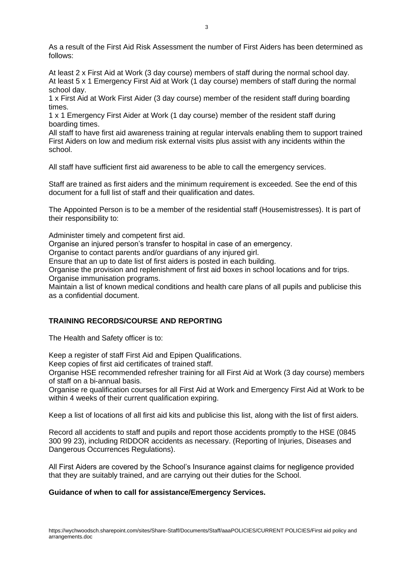As a result of the First Aid Risk Assessment the number of First Aiders has been determined as follows:

At least 2 x First Aid at Work (3 day course) members of staff during the normal school day. At least 5 x 1 Emergency First Aid at Work (1 day course) members of staff during the normal school day.

1 x First Aid at Work First Aider (3 day course) member of the resident staff during boarding times.

1 x 1 Emergency First Aider at Work (1 day course) member of the resident staff during boarding times.

All staff to have first aid awareness training at regular intervals enabling them to support trained First Aiders on low and medium risk external visits plus assist with any incidents within the school.

All staff have sufficient first aid awareness to be able to call the emergency services.

Staff are trained as first aiders and the minimum requirement is exceeded. See the end of this document for a full list of staff and their qualification and dates.

The Appointed Person is to be a member of the residential staff (Housemistresses). It is part of their responsibility to:

Administer timely and competent first aid.

Organise an injured person's transfer to hospital in case of an emergency.

Organise to contact parents and/or guardians of any injured girl.

Ensure that an up to date list of first aiders is posted in each building.

Organise the provision and replenishment of first aid boxes in school locations and for trips.

Organise immunisation programs.

Maintain a list of known medical conditions and health care plans of all pupils and publicise this as a confidential document.

# **TRAINING RECORDS/COURSE AND REPORTING**

The Health and Safety officer is to:

Keep a register of staff First Aid and Epipen Qualifications.

Keep copies of first aid certificates of trained staff.

Organise HSE recommended refresher training for all First Aid at Work (3 day course) members of staff on a bi-annual basis.

Organise re qualification courses for all First Aid at Work and Emergency First Aid at Work to be within 4 weeks of their current qualification expiring.

Keep a list of locations of all first aid kits and publicise this list, along with the list of first aiders.

Record all accidents to staff and pupils and report those accidents promptly to the HSE (0845 300 99 23), including RIDDOR accidents as necessary. (Reporting of Injuries, Diseases and Dangerous Occurrences Regulations).

All First Aiders are covered by the School's Insurance against claims for negligence provided that they are suitably trained, and are carrying out their duties for the School.

### **Guidance of when to call for assistance/Emergency Services.**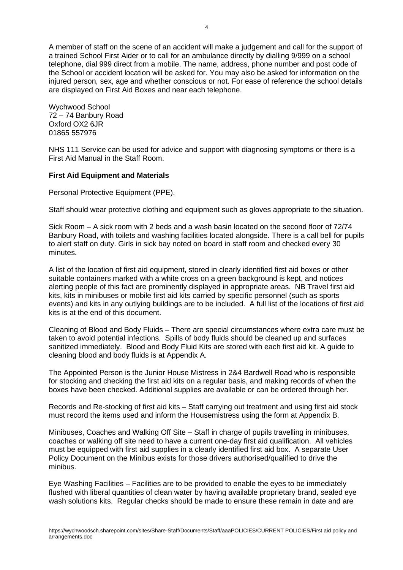A member of staff on the scene of an accident will make a judgement and call for the support of a trained School First Aider or to call for an ambulance directly by dialling 9/999 on a school telephone, dial 999 direct from a mobile. The name, address, phone number and post code of the School or accident location will be asked for. You may also be asked for information on the injured person, sex, age and whether conscious or not. For ease of reference the school details are displayed on First Aid Boxes and near each telephone.

Wychwood School 72 – 74 Banbury Road Oxford OX2 6JR 01865 557976

NHS 111 Service can be used for advice and support with diagnosing symptoms or there is a First Aid Manual in the Staff Room.

### **First Aid Equipment and Materials**

Personal Protective Equipment (PPE).

Staff should wear protective clothing and equipment such as gloves appropriate to the situation.

Sick Room – A sick room with 2 beds and a wash basin located on the second floor of 72/74 Banbury Road, with toilets and washing facilities located alongside. There is a call bell for pupils to alert staff on duty. Girls in sick bay noted on board in staff room and checked every 30 minutes.

A list of the location of first aid equipment, stored in clearly identified first aid boxes or other suitable containers marked with a white cross on a green background is kept, and notices alerting people of this fact are prominently displayed in appropriate areas. NB Travel first aid kits, kits in minibuses or mobile first aid kits carried by specific personnel (such as sports events) and kits in any outlying buildings are to be included. A full list of the locations of first aid kits is at the end of this document.

Cleaning of Blood and Body Fluids – There are special circumstances where extra care must be taken to avoid potential infections. Spills of body fluids should be cleaned up and surfaces sanitized immediately. Blood and Body Fluid Kits are stored with each first aid kit. A guide to cleaning blood and body fluids is at Appendix A.

The Appointed Person is the Junior House Mistress in 2&4 Bardwell Road who is responsible for stocking and checking the first aid kits on a regular basis, and making records of when the boxes have been checked. Additional supplies are available or can be ordered through her.

Records and Re-stocking of first aid kits – Staff carrying out treatment and using first aid stock must record the items used and inform the Housemistress using the form at Appendix B.

Minibuses, Coaches and Walking Off Site – Staff in charge of pupils travelling in minibuses, coaches or walking off site need to have a current one-day first aid qualification. All vehicles must be equipped with first aid supplies in a clearly identified first aid box. A separate User Policy Document on the Minibus exists for those drivers authorised/qualified to drive the minibus.

Eye Washing Facilities – Facilities are to be provided to enable the eyes to be immediately flushed with liberal quantities of clean water by having available proprietary brand, sealed eye wash solutions kits. Regular checks should be made to ensure these remain in date and are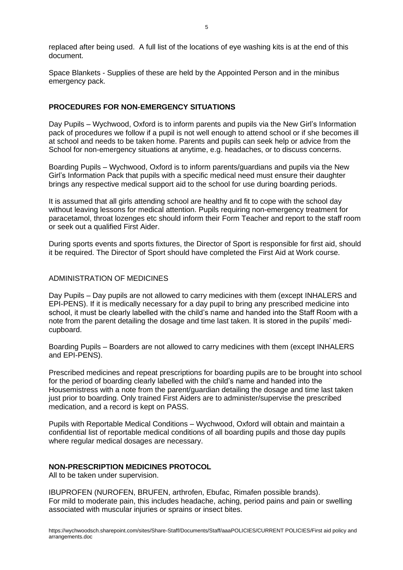replaced after being used. A full list of the locations of eye washing kits is at the end of this document.

Space Blankets - Supplies of these are held by the Appointed Person and in the minibus emergency pack.

### **PROCEDURES FOR NON-EMERGENCY SITUATIONS**

Day Pupils – Wychwood, Oxford is to inform parents and pupils via the New Girl's Information pack of procedures we follow if a pupil is not well enough to attend school or if she becomes ill at school and needs to be taken home. Parents and pupils can seek help or advice from the School for non-emergency situations at anytime, e.g. headaches, or to discuss concerns.

Boarding Pupils – Wychwood, Oxford is to inform parents/guardians and pupils via the New Girl's Information Pack that pupils with a specific medical need must ensure their daughter brings any respective medical support aid to the school for use during boarding periods.

It is assumed that all girls attending school are healthy and fit to cope with the school day without leaving lessons for medical attention. Pupils requiring non-emergency treatment for paracetamol, throat lozenges etc should inform their Form Teacher and report to the staff room or seek out a qualified First Aider.

During sports events and sports fixtures, the Director of Sport is responsible for first aid, should it be required. The Director of Sport should have completed the First Aid at Work course.

### ADMINISTRATION OF MEDICINES

Day Pupils – Day pupils are not allowed to carry medicines with them (except INHALERS and EPI-PENS). If it is medically necessary for a day pupil to bring any prescribed medicine into school, it must be clearly labelled with the child's name and handed into the Staff Room with a note from the parent detailing the dosage and time last taken. It is stored in the pupils' medicupboard.

Boarding Pupils – Boarders are not allowed to carry medicines with them (except INHALERS and EPI-PENS).

Prescribed medicines and repeat prescriptions for boarding pupils are to be brought into school for the period of boarding clearly labelled with the child's name and handed into the Housemistress with a note from the parent/guardian detailing the dosage and time last taken just prior to boarding. Only trained First Aiders are to administer/supervise the prescribed medication, and a record is kept on PASS.

Pupils with Reportable Medical Conditions – Wychwood, Oxford will obtain and maintain a confidential list of reportable medical conditions of all boarding pupils and those day pupils where regular medical dosages are necessary.

### **NON-PRESCRIPTION MEDICINES PROTOCOL**

All to be taken under supervision.

IBUPROFEN (NUROFEN, BRUFEN, arthrofen, Ebufac, Rimafen possible brands). For mild to moderate pain, this includes headache, aching, period pains and pain or swelling associated with muscular injuries or sprains or insect bites.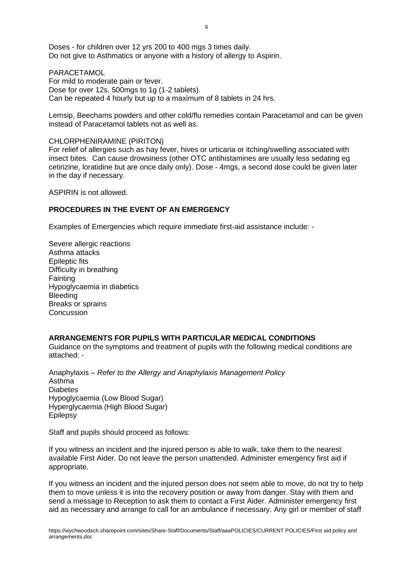Doses - for children over 12 yrs 200 to 400 mgs 3 times daily. Do not give to Asthmatics or anyone with a history of allergy to Aspirin.

**PARACETAMOL** For mild to moderate pain or fever. Dose for over 12s, 500mgs to 1g (1-2 tablets). Can be repeated 4 hourly but up to a maximum of 8 tablets in 24 hrs.

Lemsip, Beechams powders and other cold/flu remedies contain Paracetamol and can be given instead of Paracetamol tablets not as well as.

#### CHLORPHENIRAMINE (PIRITON)

For relief of allergies such as hay fever, hives or urticaria or itching/swelling associated with insect bites. Can cause drowsiness (other OTC antihistamines are usually less sedating eg cetirizine, loratidine but are once daily only). Dose - 4mgs, a second dose could be given later in the day if necessary.

ASPIRIN is not allowed.

### **PROCEDURES IN THE EVENT OF AN EMERGENCY**

Examples of Emergencies which require immediate first-aid assistance include: -

Severe allergic reactions Asthma attacks Epileptic fits Difficulty in breathing **Fainting** Hypoglycaemia in diabetics **Bleeding** Breaks or sprains **Concussion** 

### **ARRANGEMENTS FOR PUPILS WITH PARTICULAR MEDICAL CONDITIONS**

Guidance on the symptoms and treatment of pupils with the following medical conditions are attached: -

Anaphylaxis – *Refer to the Allergy and Anaphylaxis Management Policy* Asthma Diabetes Hypoglycaemia (Low Blood Sugar) Hyperglycaemia (High Blood Sugar) Epilepsy

Staff and pupils should proceed as follows:

If you witness an incident and the injured person is able to walk, take them to the nearest available First Aider. Do not leave the person unattended. Administer emergency first aid if appropriate.

If you witness an incident and the injured person does not seem able to move, do not try to help them to move unless it is into the recovery position or away from danger. Stay with them and send a message to Reception to ask them to contact a First Aider. Administer emergency first aid as necessary and arrange to call for an ambulance if necessary. Any girl or member of staff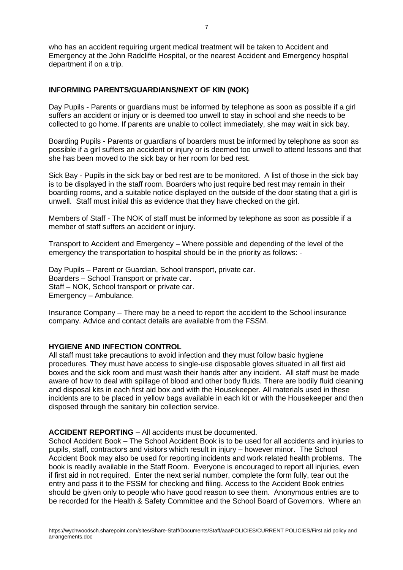who has an accident requiring urgent medical treatment will be taken to Accident and Emergency at the John Radcliffe Hospital, or the nearest Accident and Emergency hospital department if on a trip.

### **INFORMING PARENTS/GUARDIANS/NEXT OF KIN (NOK)**

Day Pupils - Parents or guardians must be informed by telephone as soon as possible if a girl suffers an accident or injury or is deemed too unwell to stay in school and she needs to be collected to go home. If parents are unable to collect immediately, she may wait in sick bay.

Boarding Pupils - Parents or guardians of boarders must be informed by telephone as soon as possible if a girl suffers an accident or injury or is deemed too unwell to attend lessons and that she has been moved to the sick bay or her room for bed rest.

Sick Bay - Pupils in the sick bay or bed rest are to be monitored. A list of those in the sick bay is to be displayed in the staff room. Boarders who just require bed rest may remain in their boarding rooms, and a suitable notice displayed on the outside of the door stating that a girl is unwell. Staff must initial this as evidence that they have checked on the girl.

Members of Staff - The NOK of staff must be informed by telephone as soon as possible if a member of staff suffers an accident or injury.

Transport to Accident and Emergency – Where possible and depending of the level of the emergency the transportation to hospital should be in the priority as follows: -

Day Pupils – Parent or Guardian, School transport, private car. Boarders – School Transport or private car. Staff – NOK, School transport or private car. Emergency – Ambulance.

Insurance Company – There may be a need to report the accident to the School insurance company. Advice and contact details are available from the FSSM.

# **HYGIENE AND INFECTION CONTROL**

All staff must take precautions to avoid infection and they must follow basic hygiene procedures. They must have access to single-use disposable gloves situated in all first aid boxes and the sick room and must wash their hands after any incident. All staff must be made aware of how to deal with spillage of blood and other body fluids. There are bodily fluid cleaning and disposal kits in each first aid box and with the Housekeeper. All materials used in these incidents are to be placed in yellow bags available in each kit or with the Housekeeper and then disposed through the sanitary bin collection service.

#### **ACCIDENT REPORTING** – All accidents must be documented.

School Accident Book – The School Accident Book is to be used for all accidents and injuries to pupils, staff, contractors and visitors which result in injury – however minor. The School Accident Book may also be used for reporting incidents and work related health problems. The book is readily available in the Staff Room. Everyone is encouraged to report all injuries, even if first aid in not required. Enter the next serial number, complete the form fully, tear out the entry and pass it to the FSSM for checking and filing. Access to the Accident Book entries should be given only to people who have good reason to see them. Anonymous entries are to be recorded for the Health & Safety Committee and the School Board of Governors. Where an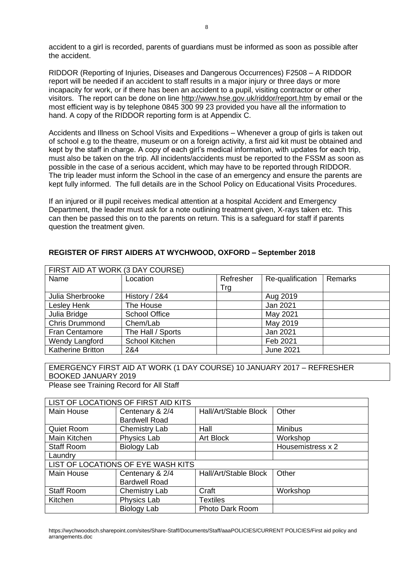accident to a girl is recorded, parents of guardians must be informed as soon as possible after the accident.

RIDDOR (Reporting of Injuries, Diseases and Dangerous Occurrences) F2508 – A RIDDOR report will be needed if an accident to staff results in a major injury or three days or more incapacity for work, or if there has been an accident to a pupil, visiting contractor or other visitors. The report can be done on line<http://www.hse.gov.uk/riddor/report.htm> by email or the most efficient way is by telephone 0845 300 99 23 provided you have all the information to hand. A copy of the RIDDOR reporting form is at Appendix C.

Accidents and Illness on School Visits and Expeditions – Whenever a group of girls is taken out of school e.g to the theatre, museum or on a foreign activity, a first aid kit must be obtained and kept by the staff in charge. A copy of each girl's medical information, with updates for each trip, must also be taken on the trip. All incidents/accidents must be reported to the FSSM as soon as possible in the case of a serious accident, which may have to be reported through RIDDOR. The trip leader must inform the School in the case of an emergency and ensure the parents are kept fully informed. The full details are in the School Policy on Educational Visits Procedures.

If an injured or ill pupil receives medical attention at a hospital Accident and Emergency Department, the leader must ask for a note outlining treatment given, X-rays taken etc. This can then be passed this on to the parents on return. This is a safeguard for staff if parents question the treatment given.

| FIRST AID AT WORK (3 DAY COURSE) |                      |           |                  |         |  |
|----------------------------------|----------------------|-----------|------------------|---------|--|
| Name                             | Location             | Refresher | Re-qualification | Remarks |  |
|                                  |                      | Trg       |                  |         |  |
| Julia Sherbrooke                 | History / 2&4        |           | Aug 2019         |         |  |
| Lesley Henk                      | The House            |           | Jan 2021         |         |  |
| Julia Bridge                     | <b>School Office</b> |           | May 2021         |         |  |
| Chris Drummond                   | Chem/Lab             |           | May 2019         |         |  |
| <b>Fran Centamore</b>            | The Hall / Sports    |           | Jan 2021         |         |  |
| Wendy Langford                   | School Kitchen       |           | Feb 2021         |         |  |
| <b>Katherine Britton</b>         | 2&4                  |           | <b>June 2021</b> |         |  |

# **REGISTER OF FIRST AIDERS AT WYCHWOOD, OXFORD – September 2018**

# EMERGENCY FIRST AID AT WORK (1 DAY COURSE) 10 JANUARY 2017 – REFRESHER BOOKED JANUARY 2019

Please see Training Record for All Staff

| LIST OF LOCATIONS OF FIRST AID KITS |                      |                       |                   |  |  |
|-------------------------------------|----------------------|-----------------------|-------------------|--|--|
| Main House                          | Centenary & 2/4      | Hall/Art/Stable Block | Other             |  |  |
|                                     | <b>Bardwell Road</b> |                       |                   |  |  |
| Quiet Room                          | Chemistry Lab        | Hall                  | <b>Minibus</b>    |  |  |
| Main Kitchen                        | Physics Lab          | Art Block             | Workshop          |  |  |
| <b>Staff Room</b>                   | Biology Lab          |                       | Housemistress x 2 |  |  |
| Laundry                             |                      |                       |                   |  |  |
| LIST OF LOCATIONS OF EYE WASH KITS  |                      |                       |                   |  |  |
| Main House                          | Centenary & 2/4      | Hall/Art/Stable Block | Other             |  |  |
|                                     | <b>Bardwell Road</b> |                       |                   |  |  |
| <b>Staff Room</b>                   | <b>Chemistry Lab</b> | Craft                 | Workshop          |  |  |
| Kitchen                             | Physics Lab          | <b>Textiles</b>       |                   |  |  |
|                                     | Biology Lab          | Photo Dark Room       |                   |  |  |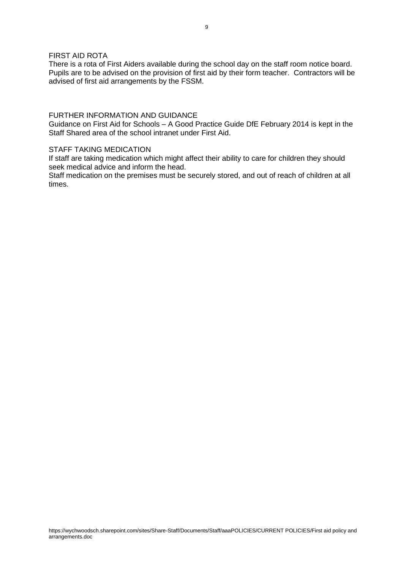### FIRST AID ROTA

There is a rota of First Aiders available during the school day on the staff room notice board. Pupils are to be advised on the provision of first aid by their form teacher. Contractors will be advised of first aid arrangements by the FSSM.

### FURTHER INFORMATION AND GUIDANCE

Guidance on First Aid for Schools – A Good Practice Guide DfE February 2014 is kept in the Staff Shared area of the school intranet under First Aid.

### STAFF TAKING MEDICATION

If staff are taking medication which might affect their ability to care for children they should seek medical advice and inform the head.

Staff medication on the premises must be securely stored, and out of reach of children at all times.